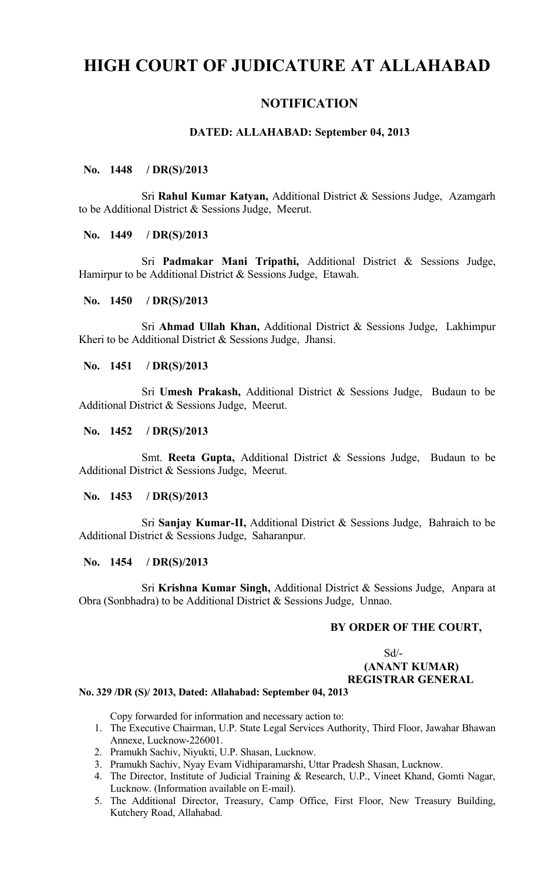# **HIGH COURT OF JUDICATURE AT ALLAHABAD**

## **NOTIFICATION**

### **DATED: ALLAHABAD: September 04, 2013**

#### **No. 1448 / DR(S)/2013**

Sri **Rahul Kumar Katyan,** Additional District & Sessions Judge, Azamgarh to be Additional District & Sessions Judge, Meerut.

### **No. 1449 / DR(S)/2013**

Sri **Padmakar Mani Tripathi,** Additional District & Sessions Judge, Hamirpur to be Additional District & Sessions Judge, Etawah.

#### **No. 1450 / DR(S)/2013**

Sri **Ahmad Ullah Khan,** Additional District & Sessions Judge, Lakhimpur Kheri to be Additional District & Sessions Judge, Jhansi.

#### **No. 1451 / DR(S)/2013**

Sri **Umesh Prakash,** Additional District & Sessions Judge, Budaun to be Additional District & Sessions Judge, Meerut.

#### **No. 1452 / DR(S)/2013**

Smt. **Reeta Gupta,** Additional District & Sessions Judge, Budaun to be Additional District & Sessions Judge, Meerut.

#### **No. 1453 / DR(S)/2013**

Sri **Sanjay Kumar-II,** Additional District & Sessions Judge, Bahraich to be Additional District & Sessions Judge, Saharanpur.

#### **No. 1454 / DR(S)/2013**

Sri **Krishna Kumar Singh,** Additional District & Sessions Judge, Anpara at Obra (Sonbhadra) to be Additional District & Sessions Judge, Unnao.

## **BY ORDER OF THE COURT,**

#### Sd/-  **(ANANT KUMAR) REGISTRAR GENERAL**

#### **No. 329 /DR (S)/ 2013, Dated: Allahabad: September 04, 2013**

Copy forwarded for information and necessary action to:

- 1. The Executive Chairman, U.P. State Legal Services Authority, Third Floor, Jawahar Bhawan Annexe, Lucknow-226001.
- 2. Pramukh Sachiv, Niyukti, U.P. Shasan, Lucknow.
- 3. Pramukh Sachiv, Nyay Evam Vidhiparamarshi, Uttar Pradesh Shasan, Lucknow.
- 4. The Director, Institute of Judicial Training & Research, U.P., Vineet Khand, Gomti Nagar, Lucknow. (Information available on E-mail).
- 5. The Additional Director, Treasury, Camp Office, First Floor, New Treasury Building, Kutchery Road, Allahabad.